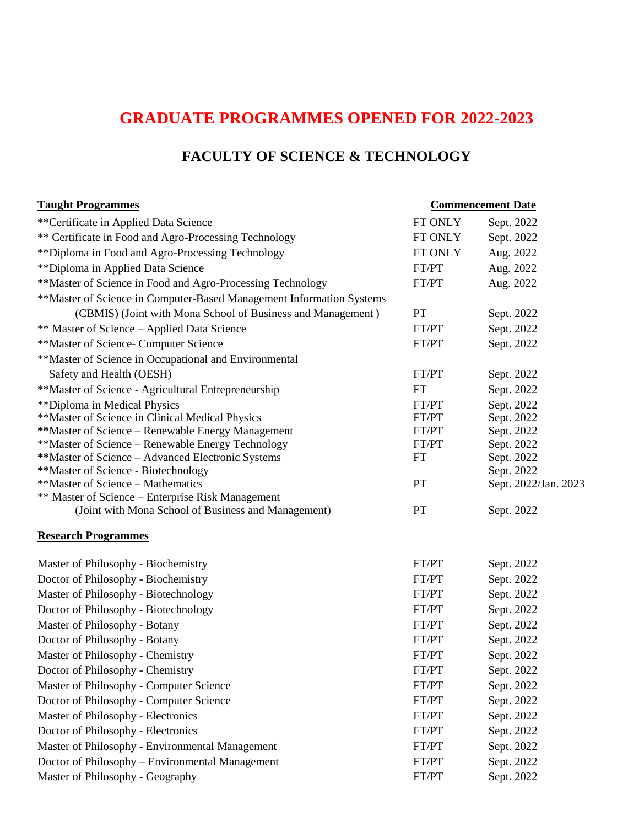# **GRADUATE PROGRAMMES OPENED FOR 2022-2023**

## **FACULTY OF SCIENCE & TECHNOLOGY**

### **Taught Programmes Commencement Date** \*\*Certificate in Applied Data Science FT ONLY Sept. 2022 \*\* Certificate in Food and Agro-Processing Technology FT ONLY Sept. 2022 \*\*Diploma in Food and Agro-Processing Technology FT ONLY Aug. 2022 \*\*Diploma in Applied Data Science FT/PT Aug. 2022 \*\*Master of Science in Food and Agro-Processing Technology FT/PT Aug. 2022 \*\*Master of Science in Computer-Based Management Information Systems (CBMIS) (Joint with Mona School of Business and Management ) PT Sept. 2022 \*\* Master of Science – Applied Data Science FT/PT Sept. 2022 \*\*Master of Science- Computer Science FT/PT Sept. 2022 \*\*Master of Science in Occupational and Environmental Safety and Health (OESH) Sept. 2022 \*\*Master of Science - Agricultural Entrepreneurship FT Sept. 2022 \*\*Diploma in Medical Physics The Sept. 2022 Sept. 2022 \*\*Master of Science in Clinical Medical Physics FT/PT Sept. 2022 \*\*Master of Science – Renewable Energy Management FT/PT Sept. 2022 \*\*Master of Science – Renewable Energy Technology FT/PT Sept. 2022 \*\*Master of Science – Advanced Electronic Systems FT Sept. 2022 **\*\*Master of Science - Biotechnology Sept. 2022** \*\*Master of Science – Mathematics PT Sept. 2022/Jan. 2023 \*\* Master of Science – Enterprise Risk Management (Joint with Mona School of Business and Management) PT Sept. 2022 **Research Programmes** Master of Philosophy - Biochemistry FT/PT Sept. 2022 Doctor of Philosophy - Biochemistry FT/PT Sept. 2022 Master of Philosophy - Biotechnology FT/PT Sept. 2022 Doctor of Philosophy - Biotechnology FT/PT Sept. 2022 Master of Philosophy - Botany FT/PT Sept. 2022 Doctor of Philosophy - Botany FT/PT Sept. 2022 Master of Philosophy - Chemistry FT/PT Sept. 2022 Doctor of Philosophy - Chemistry FT/PT Sept. 2022 Master of Philosophy - Computer Science FT/PT Sept. 2022 Doctor of Philosophy - Computer Science FT/PT Sept. 2022 Master of Philosophy - Electronics FT/PT Sept. 2022 Doctor of Philosophy - Electronics FT/PT Sept. 2022 Master of Philosophy - Environmental Management FT/PT Sept. 2022 Doctor of Philosophy – Environmental Management FT/PT Sept. 2022 Master of Philosophy - Geography **FT/PT** Sept. 2022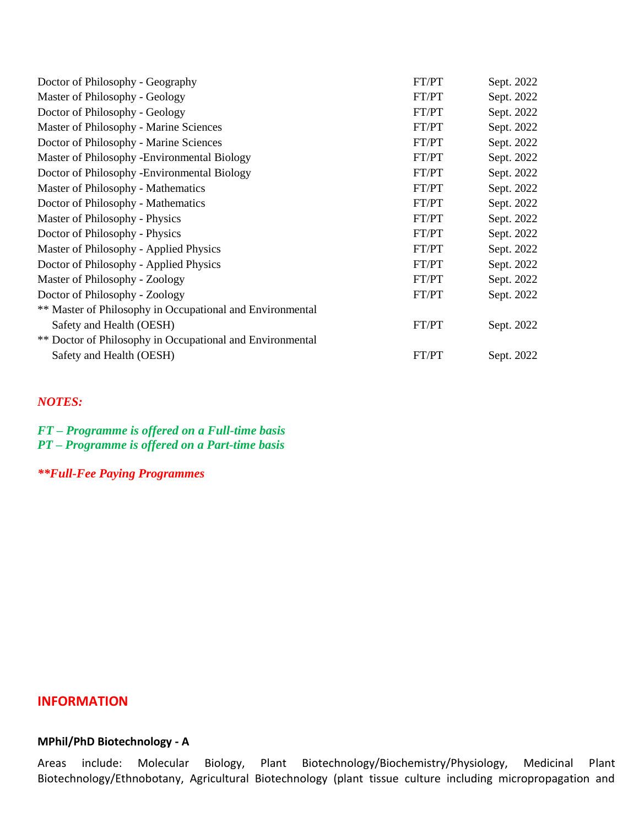| Doctor of Philosophy - Geography                          | FT/PT | Sept. 2022 |
|-----------------------------------------------------------|-------|------------|
| Master of Philosophy - Geology                            | FT/PT | Sept. 2022 |
| Doctor of Philosophy - Geology                            | FT/PT | Sept. 2022 |
| Master of Philosophy - Marine Sciences                    | FT/PT | Sept. 2022 |
| Doctor of Philosophy - Marine Sciences                    | FT/PT | Sept. 2022 |
| Master of Philosophy - Environmental Biology              | FT/PT | Sept. 2022 |
| Doctor of Philosophy - Environmental Biology              | FT/PT | Sept. 2022 |
| Master of Philosophy - Mathematics                        | FT/PT | Sept. 2022 |
| Doctor of Philosophy - Mathematics                        | FT/PT | Sept. 2022 |
| Master of Philosophy - Physics                            | FT/PT | Sept. 2022 |
| Doctor of Philosophy - Physics                            | FT/PT | Sept. 2022 |
| Master of Philosophy - Applied Physics                    | FT/PT | Sept. 2022 |
| Doctor of Philosophy - Applied Physics                    | FT/PT | Sept. 2022 |
| Master of Philosophy - Zoology                            | FT/PT | Sept. 2022 |
| Doctor of Philosophy - Zoology                            | FT/PT | Sept. 2022 |
| ** Master of Philosophy in Occupational and Environmental |       |            |
| Safety and Health (OESH)                                  | FT/PT | Sept. 2022 |
| ** Doctor of Philosophy in Occupational and Environmental |       |            |
| Safety and Health (OESH)                                  | FT/PT | Sept. 2022 |

#### *NOTES:*

*FT – Programme is offered on a Full-time basis PT – Programme is offered on a Part-time basis*

*\*\*Full-Fee Paying Programmes*

#### **INFORMATION**

### **MPhil/PhD Biotechnology - A**

Areas include: Molecular Biology, Plant Biotechnology/Biochemistry/Physiology, Medicinal Plant Biotechnology/Ethnobotany, Agricultural Biotechnology (plant tissue culture including micropropagation and